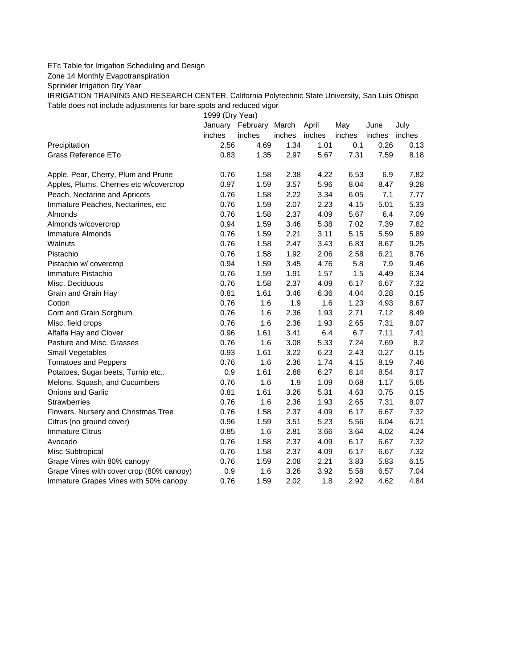## ETc Table for Irrigation Scheduling and Design

Zone 14 Monthly Evapotranspiration

Sprinkler Irrigation Dry Year

IRRIGATION TRAINING AND RESEARCH CENTER, California Polytechnic State University, San Luis Obispo Table does not include adjustments for bare spots and reduced vigor

1999 (Dry Year)

|                                          | January | February | March  | April  | May    | June   | July   |
|------------------------------------------|---------|----------|--------|--------|--------|--------|--------|
|                                          | inches  | inches   | inches | inches | inches | inches | inches |
| Precipitation                            | 2.56    | 4.69     | 1.34   | 1.01   | 0.1    | 0.26   | 0.13   |
| Grass Reference ETo                      | 0.83    | 1.35     | 2.97   | 5.67   | 7.31   | 7.59   | 8.18   |
| Apple, Pear, Cherry, Plum and Prune      | 0.76    | 1.58     | 2.38   | 4.22   | 6.53   | 6.9    | 7.82   |
| Apples, Plums, Cherries etc w/covercrop  | 0.97    | 1.59     | 3.57   | 5.96   | 8.04   | 8.47   | 9.28   |
| Peach, Nectarine and Apricots            | 0.76    | 1.58     | 2.22   | 3.34   | 6.05   | 7.1    | 7.77   |
| Immature Peaches, Nectarines, etc        | 0.76    | 1.59     | 2.07   | 2.23   | 4.15   | 5.01   | 5.33   |
| Almonds                                  | 0.76    | 1.58     | 2.37   | 4.09   | 5.67   | 6.4    | 7.09   |
| Almonds w/covercrop                      | 0.94    | 1.59     | 3.46   | 5.38   | 7.02   | 7.39   | 7.82   |
| Immature Almonds                         | 0.76    | 1.59     | 2.21   | 3.11   | 5.15   | 5.59   | 5.89   |
| Walnuts                                  | 0.76    | 1.58     | 2.47   | 3.43   | 6.83   | 8.67   | 9.25   |
| Pistachio                                | 0.76    | 1.58     | 1.92   | 2.06   | 2.58   | 6.21   | 8.76   |
| Pistachio w/ covercrop                   | 0.94    | 1.59     | 3.45   | 4.76   | 5.8    | 7.9    | 9.46   |
| Immature Pistachio                       | 0.76    | 1.59     | 1.91   | 1.57   | 1.5    | 4.49   | 6.34   |
| Misc. Deciduous                          | 0.76    | 1.58     | 2.37   | 4.09   | 6.17   | 6.67   | 7.32   |
| Grain and Grain Hay                      | 0.81    | 1.61     | 3.46   | 6.36   | 4.04   | 0.28   | 0.15   |
| Cotton                                   | 0.76    | 1.6      | 1.9    | 1.6    | 1.23   | 4.93   | 8.67   |
| Corn and Grain Sorghum                   | 0.76    | 1.6      | 2.36   | 1.93   | 2.71   | 7.12   | 8.49   |
| Misc. field crops                        | 0.76    | 1.6      | 2.36   | 1.93   | 2.65   | 7.31   | 8.07   |
| Alfalfa Hay and Clover                   | 0.96    | 1.61     | 3.41   | 6.4    | 6.7    | 7.11   | 7.41   |
| Pasture and Misc. Grasses                | 0.76    | 1.6      | 3.08   | 5.33   | 7.24   | 7.69   | 8.2    |
| Small Vegetables                         | 0.93    | 1.61     | 3.22   | 6.23   | 2.43   | 0.27   | 0.15   |
| <b>Tomatoes and Peppers</b>              | 0.76    | 1.6      | 2.36   | 1.74   | 4.15   | 8.19   | 7.46   |
| Potatoes, Sugar beets, Turnip etc        | 0.9     | 1.61     | 2.88   | 6.27   | 8.14   | 8.54   | 8.17   |
| Melons, Squash, and Cucumbers            | 0.76    | 1.6      | 1.9    | 1.09   | 0.68   | 1.17   | 5.65   |
| <b>Onions and Garlic</b>                 | 0.81    | 1.61     | 3.26   | 5.31   | 4.63   | 0.75   | 0.15   |
| <b>Strawberries</b>                      | 0.76    | 1.6      | 2.36   | 1.93   | 2.65   | 7.31   | 8.07   |
| Flowers, Nursery and Christmas Tree      | 0.76    | 1.58     | 2.37   | 4.09   | 6.17   | 6.67   | 7.32   |
| Citrus (no ground cover)                 | 0.96    | 1.59     | 3.51   | 5.23   | 5.56   | 6.04   | 6.21   |
| <b>Immature Citrus</b>                   | 0.85    | 1.6      | 2.81   | 3.66   | 3.64   | 4.02   | 4.24   |
| Avocado                                  | 0.76    | 1.58     | 2.37   | 4.09   | 6.17   | 6.67   | 7.32   |
| Misc Subtropical                         | 0.76    | 1.58     | 2.37   | 4.09   | 6.17   | 6.67   | 7.32   |
| Grape Vines with 80% canopy              | 0.76    | 1.59     | 2.08   | 2.21   | 3.83   | 5.83   | 6.15   |
| Grape Vines with cover crop (80% canopy) | 0.9     | 1.6      | 3.26   | 3.92   | 5.58   | 6.57   | 7.04   |
| Immature Grapes Vines with 50% canopy    | 0.76    | 1.59     | 2.02   | 1.8    | 2.92   | 4.62   | 4.84   |